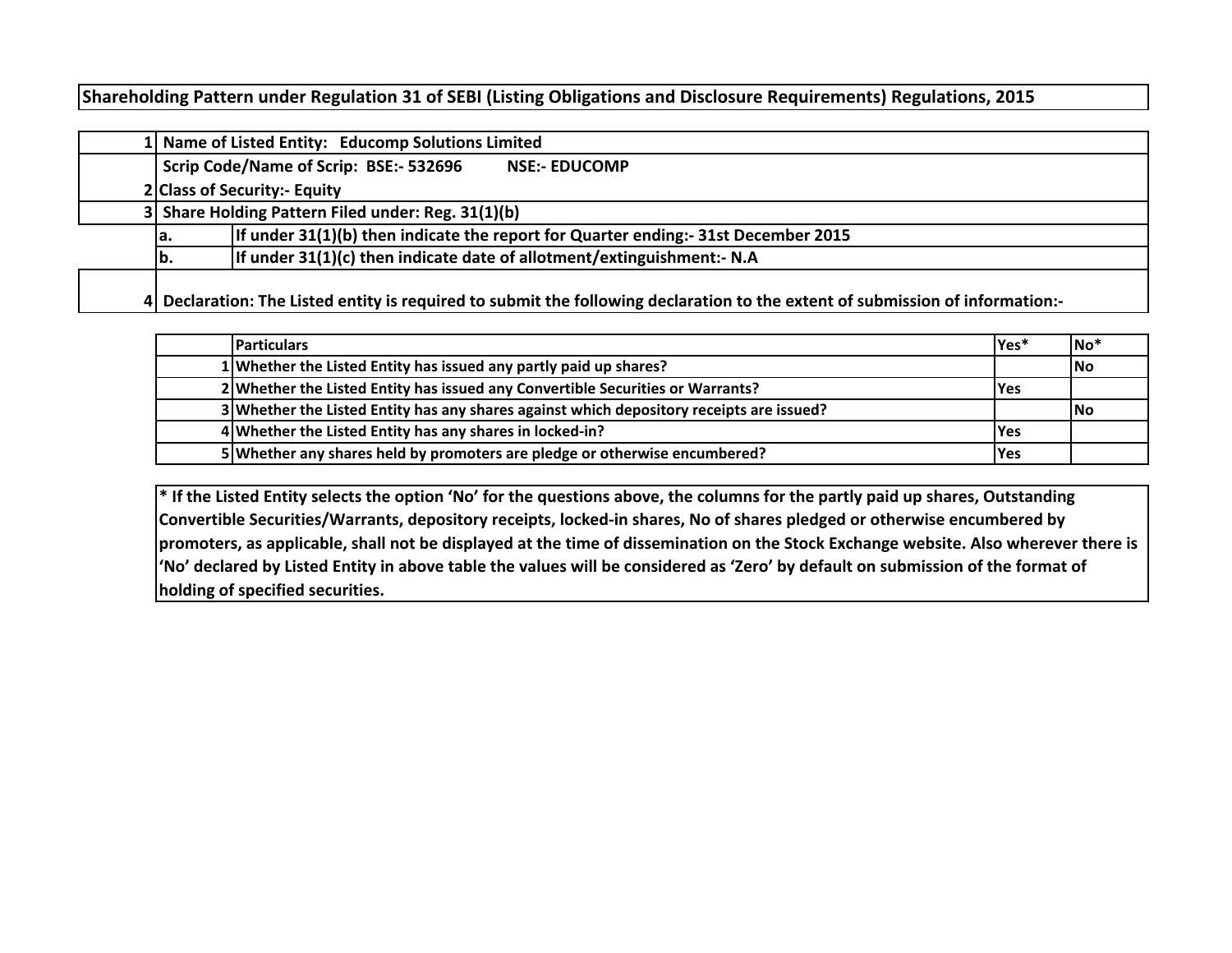# **Shareholding Pattern under Regulation 31 of SEBI (Listing Obligations and Disclosure Requirements) Regulations, 2015**

|  | 1 Name of Listed Entity: Educomp Solutions Limited                                                                            |  |  |  |  |  |  |  |  |  |  |  |  |  |
|--|-------------------------------------------------------------------------------------------------------------------------------|--|--|--|--|--|--|--|--|--|--|--|--|--|
|  | Scrip Code/Name of Scrip: BSE:- 532696<br><b>NSE:- EDUCOMP</b>                                                                |  |  |  |  |  |  |  |  |  |  |  |  |  |
|  | 2 Class of Security:- Equity                                                                                                  |  |  |  |  |  |  |  |  |  |  |  |  |  |
|  | 3 Share Holding Pattern Filed under: Reg. 31(1)(b)                                                                            |  |  |  |  |  |  |  |  |  |  |  |  |  |
|  | If under 31(1)(b) then indicate the report for Quarter ending:- 31st December 2015<br>la.                                     |  |  |  |  |  |  |  |  |  |  |  |  |  |
|  | If under 31(1)(c) then indicate date of allotment/extinguishment:- N.A<br>lb.                                                 |  |  |  |  |  |  |  |  |  |  |  |  |  |
|  | 4 Declaration: The Listed entity is required to submit the following declaration to the extent of submission of information:- |  |  |  |  |  |  |  |  |  |  |  |  |  |

| <b>Particulars</b>                                                                       | Yes <sup>*</sup> | $No*$     |
|------------------------------------------------------------------------------------------|------------------|-----------|
| 1 Whether the Listed Entity has issued any partly paid up shares?                        |                  | <b>No</b> |
| 2 Whether the Listed Entity has issued any Convertible Securities or Warrants?           | lYes.            |           |
| 3 Whether the Listed Entity has any shares against which depository receipts are issued? |                  | lNo.      |
| 4 Whether the Listed Entity has any shares in locked-in?                                 | lYes             |           |
| 5 Whether any shares held by promoters are pledge or otherwise encumbered?               | lYes             |           |

**\* If the Listed Entity selects the option 'No' for the questions above, the columns for the partly paid up shares, Outstanding Convertible Securities/Warrants, depository receipts, locked-in shares, No of shares pledged or otherwise encumbered by promoters, as applicable, shall not be displayed at the time of dissemination on the Stock Exchange website. Also wherever there is 'No' declared by Listed Entity in above table the values will be considered as 'Zero' by default on submission of the format of holding of specified securities.**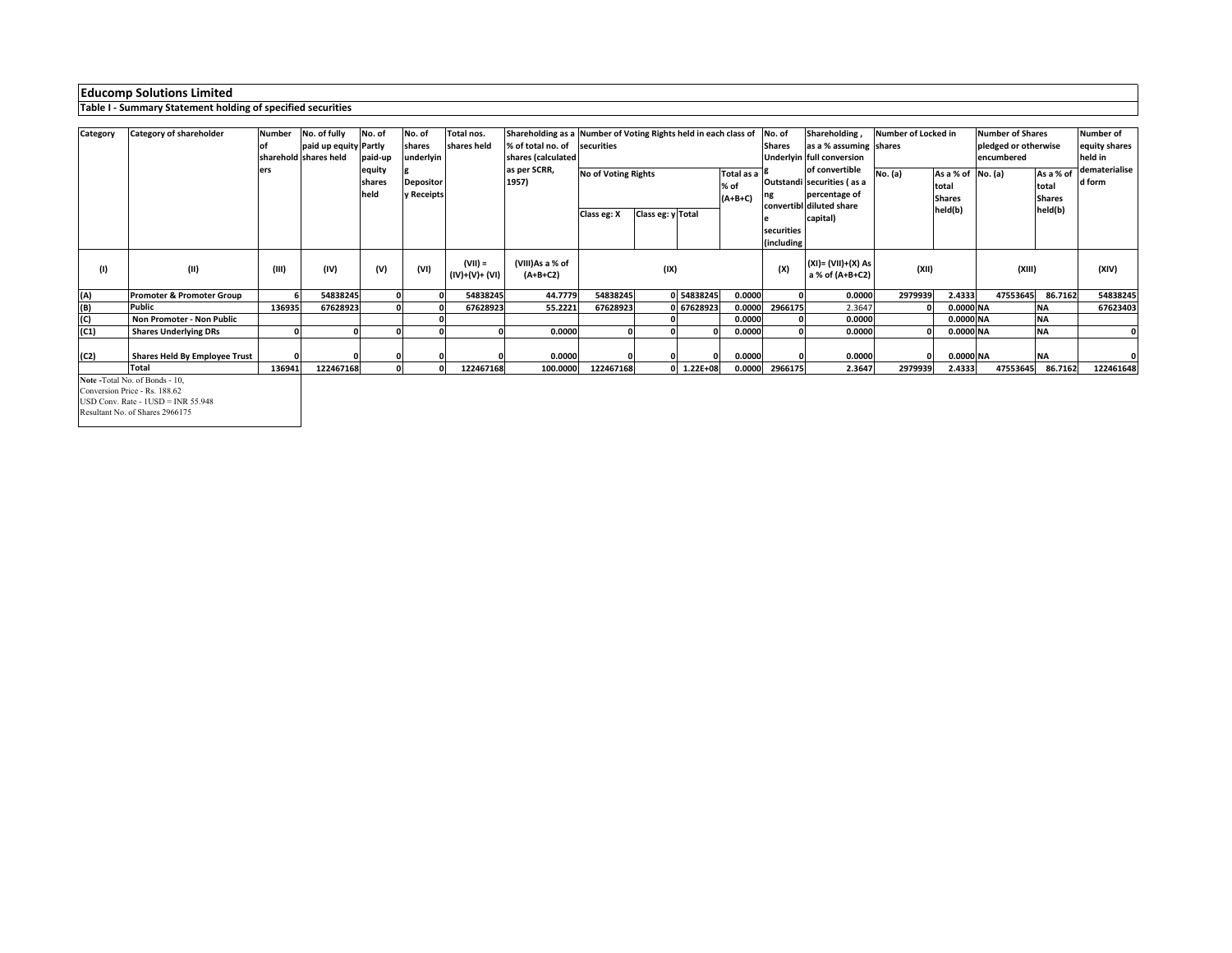# **Educomp Solutions Limited**

#### **Table I - Summary Statement holding of specified securities**

| Category | Category of shareholder              | <b>Number</b> | No. of fully          | No. of                   | No. of                         | Total nos.                  | Shareholding as a Number of Voting Rights held in each class of |                                  |                                                               |              |                                 | No. of     | Shareholding,                                                                             | Number of Locked in |                                                        | <b>Number of Shares</b>            |                                     | Number of               |
|----------|--------------------------------------|---------------|-----------------------|--------------------------|--------------------------------|-----------------------------|-----------------------------------------------------------------|----------------------------------|---------------------------------------------------------------|--------------|---------------------------------|------------|-------------------------------------------------------------------------------------------|---------------------|--------------------------------------------------------|------------------------------------|-------------------------------------|-------------------------|
|          |                                      |               | paid up equity Partly |                          | shares                         | shares held                 | % of total no. of                                               | securities                       |                                                               |              |                                 | Shares     | as a % assuming shares                                                                    |                     |                                                        | pledged or otherwise<br>encumbered |                                     | equity shares           |
|          |                                      |               | sharehold shares held | paid-up                  | underlyin                      |                             | shares (calculated                                              |                                  |                                                               |              |                                 |            | Jnderlyin full conversion                                                                 |                     |                                                        |                                    |                                     | held in                 |
|          |                                      | ers           |                       | equity<br>shares<br>held | <b>Depositor</b><br>y Receipts |                             | as per SCRR,<br>1957)                                           | <b>No of Voting Rights</b>       |                                                               |              | Total as a<br>% of<br>$(A+B+C)$ |            | of convertible<br>Outstandi securities (as a<br>percentage of<br>convertibl diluted share | No. (a)             | As a % of No. (a)<br>total<br><b>Shares</b><br>held(b) |                                    | As a % of<br>total<br><b>Shares</b> | dematerialise<br>d form |
|          |                                      |               |                       |                          |                                |                             |                                                                 | Class eg: y Total<br>Class eg: X |                                                               |              |                                 | capital)   |                                                                                           |                     |                                                        | held(b)                            |                                     |                         |
|          |                                      |               |                       |                          |                                |                             |                                                                 |                                  |                                                               |              |                                 | securities |                                                                                           |                     |                                                        |                                    |                                     |                         |
|          |                                      |               |                       |                          |                                |                             |                                                                 |                                  |                                                               |              |                                 | including  |                                                                                           |                     |                                                        |                                    |                                     |                         |
| (1)      | (II)                                 | (III)         | (IV)                  | (V)                      | (VI)                           | $(VII) =$<br>(IV)+(V)+ (VI) | (VIII)As a % of<br>$(A+B+C2)$                                   |                                  | (XI)= (VII)+(X) As<br>(XII)<br>(IX)<br>(X)<br>a % of (A+B+C2) |              | (XIII)                          |            | (XIV)                                                                                     |                     |                                                        |                                    |                                     |                         |
| (A)      | <b>Promoter &amp; Promoter Group</b> |               | 54838245              |                          |                                | 54838245                    | 44.7779                                                         | 54838245                         |                                                               | 0 54838245   | 0.0000                          |            | 0.0000                                                                                    | 2979939             | 2.4333                                                 | 47553645                           | 86.7162                             | 54838245                |
| (B)      | Public                               | 136935        | 67628923              |                          |                                | 67628923                    | 55.2221                                                         | 67628923                         |                                                               | 0 67628923   | 0.0000                          | 2966175    | 2.3647                                                                                    |                     | 0.0000 NA                                              |                                    | ΝA                                  | 67623403                |
| (C)      | Non Promoter - Non Public            |               |                       |                          |                                |                             |                                                                 |                                  |                                                               |              | 0.0000                          |            | 0.0000                                                                                    |                     | 0.0000 NA                                              |                                    | <b>NA</b>                           |                         |
| (C1)     | <b>Shares Underlying DRs</b>         |               |                       |                          |                                |                             | 0.0000                                                          |                                  |                                                               |              | 0.0000                          |            | 0.0000                                                                                    |                     | 0.0000 NA                                              |                                    | <b>NA</b>                           |                         |
|          |                                      |               |                       |                          |                                |                             |                                                                 |                                  |                                                               |              |                                 |            |                                                                                           |                     |                                                        |                                    |                                     |                         |
| (C2)     | <b>Shares Held By Employee Trust</b> |               |                       |                          |                                |                             | 0.0000                                                          |                                  |                                                               |              | 0.0000                          |            | 0.0000                                                                                    |                     | 0.0000 NA                                              |                                    | <b>NA</b>                           |                         |
|          | <b>Total</b>                         | 136941        | 122467168             |                          |                                | 122467168                   | 100.0000                                                        | 122467168                        |                                                               | $1.22E + 08$ | 0.0000                          | 2966175    | 2.3647                                                                                    | 2979939             | 2.4333                                                 | 47553645                           | 86.7162                             | 122461648               |

**Note -**Total No. of Bonds - 10,

Conversion Price - Rs. 188.62

 USD Conv. Rate - 1USD = INR 55.948 Resultant No. of Shares 2966175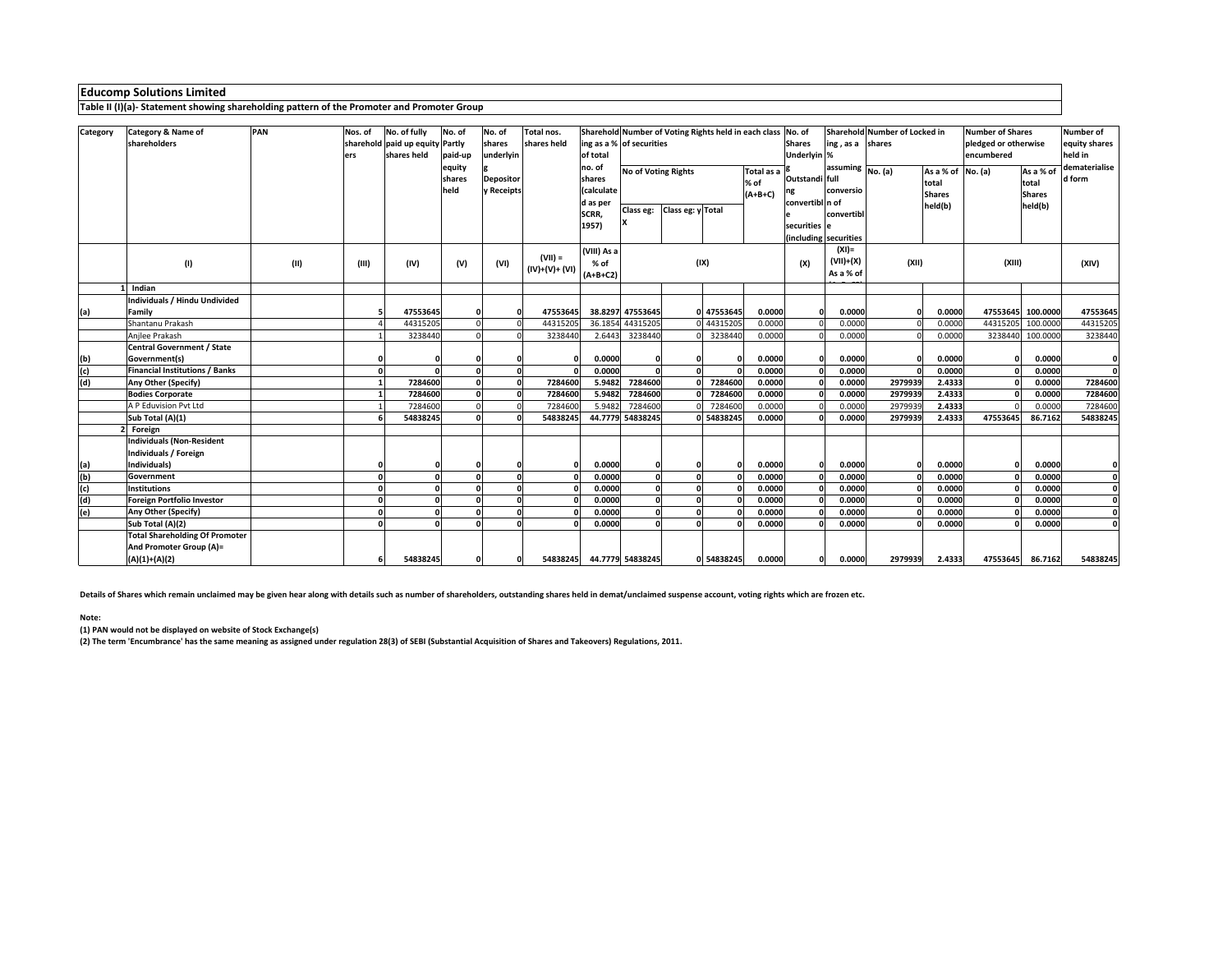# **Educomp Solutions Limited**

**Table II (I)(a)- Statement showing shareholding pattern of the Promoter and Promoter Group**

| Category        | Category & Name of                    | PAN  | Nos. of | No. of fully                    | No. of       | No. of           | Total nos.     | Sharehold Number of Voting Rights held in each class<br>No. of |                                                  |                   |            |                |                 |                                             | Sharehold Number of Locked in |                   | <b>Number of Shares</b> | <b>Number of</b>  |               |  |
|-----------------|---------------------------------------|------|---------|---------------------------------|--------------|------------------|----------------|----------------------------------------------------------------|--------------------------------------------------|-------------------|------------|----------------|-----------------|---------------------------------------------|-------------------------------|-------------------|-------------------------|-------------------|---------------|--|
|                 | shareholders                          |      |         | sharehold paid up equity Partly |              | shares           | shares held    | ing as a % of securities                                       |                                                  |                   |            |                | <b>Shares</b>   | ing, as a shares                            |                               |                   | pledged or otherwise    |                   | equity shares |  |
|                 |                                       |      | ers     | shares held                     | paid-up      | underlyin        |                | of total                                                       |                                                  |                   |            |                | Underlyin %     |                                             |                               |                   | encumbered              |                   | held in       |  |
|                 |                                       |      |         |                                 | equity       |                  |                | no. of                                                         |                                                  |                   |            |                |                 | assuming $\boxed{\mathsf{No}.(\mathsf{a})}$ |                               | As a % of No. (a) |                         | As a % of         | dematerialise |  |
|                 |                                       |      |         |                                 | shares       | <b>Depositor</b> |                | shares                                                         | <b>No of Voting Rights</b><br>Total as a<br>% of |                   |            | Outstandi full |                 |                                             | total                         |                   | total                   | d form            |               |  |
|                 |                                       |      |         |                                 | held         | y Receipts       |                | <b>(calculate</b>                                              |                                                  |                   |            | $(A+B+C)$      | ng              | conversio                                   |                               | <b>Shares</b>     |                         | <b>Shares</b>     |               |  |
|                 |                                       |      |         |                                 |              |                  |                | d as per                                                       |                                                  |                   |            |                | convertibl n of |                                             |                               | held(b)           |                         | held(b)           |               |  |
|                 |                                       |      |         |                                 |              |                  |                | SCRR,                                                          | Class eg:                                        | Class eg: y Total |            |                |                 | convertibl                                  |                               |                   |                         |                   |               |  |
|                 |                                       |      |         |                                 |              |                  |                | 1957)                                                          |                                                  |                   |            |                | securities le   |                                             |                               |                   |                         |                   |               |  |
|                 |                                       |      |         |                                 |              |                  |                |                                                                |                                                  |                   |            |                |                 | (including securities                       |                               |                   |                         |                   |               |  |
|                 |                                       |      |         |                                 |              |                  |                | (VIII) As a                                                    |                                                  |                   |            |                |                 | $(XI) =$                                    |                               |                   |                         |                   |               |  |
|                 | (1)                                   | (II) | (III)   | (IV)                            | (V)          | (VI)             | $(VII) =$      | % of                                                           | (IX)                                             |                   |            |                |                 | $(VII)+(X)$                                 | (XII)                         |                   | (XIII)                  |                   | (XIV)         |  |
|                 |                                       |      |         |                                 |              |                  | $(IV)+(V)+(V)$ | $(A+B+C2)$                                                     |                                                  |                   |            |                | (X)             | As a % of                                   |                               |                   |                         |                   |               |  |
|                 | Indian                                |      |         |                                 |              |                  |                |                                                                |                                                  |                   |            |                |                 |                                             |                               |                   |                         |                   |               |  |
|                 | Individuals / Hindu Undivided         |      |         |                                 |              |                  |                |                                                                |                                                  |                   |            |                |                 |                                             |                               |                   |                         |                   |               |  |
| (a)             | Family                                |      |         | 47553645                        |              | $\Omega$         | 47553645       |                                                                | 38.8297 47553645                                 |                   | 47553645   | 0.0000         |                 | 0.0000                                      |                               | 0.0000            |                         | 47553645 100.0000 | 47553645      |  |
|                 | Shantanu Prakash                      |      |         | 44315205                        |              |                  | 44315205       | 36.1854                                                        | 44315205                                         |                   | 44315205   | 0.0000         |                 | 0.0000                                      |                               | 0.0000            | 44315205                | 100.0000          | 44315205      |  |
|                 | Anjlee Prakash                        |      |         | 3238440                         |              |                  | 3238440        | 2.6443                                                         | 3238440                                          |                   | 3238440    | 0.0000         |                 | 0.0000                                      |                               | 0.0000            |                         | 3238440 100.0000  | 3238440       |  |
|                 | <b>Central Government / State</b>     |      |         |                                 |              |                  |                |                                                                |                                                  |                   |            |                |                 |                                             |                               |                   |                         |                   |               |  |
|                 | Government(s)                         |      |         |                                 |              |                  |                | 0.0000                                                         |                                                  |                   |            | 0.0000         |                 | 0.0000                                      |                               | 0.0000            |                         | 0.0000            | $\mathbf{o}$  |  |
| $rac{(b)}{(c)}$ | <b>Financial Institutions / Banks</b> |      |         |                                 |              | $\mathbf{r}$     |                | 0.0000                                                         |                                                  | n                 |            | 0.0000         |                 | 0.0000                                      |                               | 0.0000            |                         | 0.0000            | o             |  |
|                 | Any Other (Specify)                   |      |         | 7284600                         |              | $\Omega$         | 7284600        | 5.9482                                                         | 7284600                                          |                   | 7284600    | 0.0000         |                 | 0.0000                                      | 2979939                       | 2.4333            |                         | 0.0000            | 7284600       |  |
|                 | <b>Bodies Corporate</b>               |      |         | 7284600                         |              |                  | 7284600        | 5.9482                                                         | 7284600                                          |                   | 7284600    | 0.0000         |                 | 0.0000                                      | 2979939                       | 2.4333            |                         | 0.0000            | 7284600       |  |
|                 | A P Eduvision Pvt Ltd                 |      |         | 7284600                         |              |                  | 7284600        | 5.9482                                                         | 7284600                                          |                   | 7284600    | 0.0000         |                 | 0.0000                                      | 297993                        | 2.4333            |                         | 0.0000            | 7284600       |  |
|                 | Sub Total (A)(1)                      |      |         | 54838245                        |              |                  | 54838245       |                                                                | 44.7779 54838245                                 |                   | 54838245   | 0.0000         |                 | 0.0000                                      | 2979939                       | 2.4333            | 47553645                | 86.7162           | 54838245      |  |
|                 | Foreign                               |      |         |                                 |              |                  |                |                                                                |                                                  |                   |            |                |                 |                                             |                               |                   |                         |                   |               |  |
|                 | <b>Individuals (Non-Resident</b>      |      |         |                                 |              |                  |                |                                                                |                                                  |                   |            |                |                 |                                             |                               |                   |                         |                   |               |  |
|                 | Individuals / Foreign                 |      |         |                                 |              |                  |                |                                                                |                                                  |                   |            |                |                 |                                             |                               |                   |                         |                   |               |  |
|                 | Individuals)                          |      |         |                                 |              | $\Omega$         |                | 0.0000                                                         |                                                  |                   |            | 0.0000         |                 | 0.0000                                      |                               | 0.0000            |                         | 0.0000            |               |  |
| $\frac{a}{b}$   | Government                            |      |         |                                 | $\mathbf{a}$ | $\Omega$         |                | 0.0000                                                         | $\Omega$                                         | n                 |            | 0.0000         |                 | 0.0000                                      |                               | 0.0000            |                         | 0.0000            | o             |  |
| (c)             | <b>Institutions</b>                   |      |         |                                 |              | $\sqrt{2}$       |                | 0.0000                                                         | $\Omega$                                         |                   |            | 0.0000         |                 | 0.0000                                      |                               | 0.0000            |                         | 0.0000            | $\mathbf{0}$  |  |
| (d)             | <b>Foreign Portfolio Investor</b>     |      |         |                                 |              | $\sqrt{2}$       |                | 0.0000                                                         |                                                  |                   |            | 0.0000         |                 | 0.0000                                      |                               | 0.0000            |                         | 0.0000            | $\Omega$      |  |
| (e)             | Any Other (Specify)                   |      |         |                                 | $\Omega$     | $\Omega$         |                | 0.0000                                                         |                                                  |                   |            | 0.0000         |                 | 0.0000                                      |                               | 0.0000            |                         | 0.0000            | $\Omega$      |  |
|                 | Sub Total (A)(2)                      |      |         |                                 | $\sqrt{2}$   | $\Omega$         |                | 0.0000                                                         |                                                  |                   |            | 0.0000         |                 | 0.0000                                      |                               | 0.0000            |                         | 0.0000            |               |  |
|                 | <b>Total Shareholding Of Promoter</b> |      |         |                                 |              |                  |                |                                                                |                                                  |                   |            |                |                 |                                             |                               |                   |                         |                   |               |  |
|                 | And Promoter Group (A)=               |      |         |                                 |              |                  |                |                                                                |                                                  |                   |            |                |                 |                                             |                               |                   |                         |                   |               |  |
|                 | $(A)(1)+(A)(2)$                       |      |         | 54838245                        | $\Omega$     | o                |                | 54838245 44.7779 54838245                                      |                                                  |                   | 0 54838245 | 0.0000         |                 | 0.0000                                      | 2979939                       | 2.4333            |                         | 47553645 86.7162  | 54838245      |  |

**Details of Shares which remain unclaimed may be given hear along with details such as number of shareholders, outstanding shares held in demat/unclaimed suspense account, voting rights which are frozen etc.**

#### **Note:**

**(1) PAN would not be displayed on website of Stock Exchange(s)** 

**(2) The term 'Encumbrance' has the same meaning as assigned under regulation 28(3) of SEBI (Substantial Acquisition of Shares and Takeovers) Regulations, 2011.**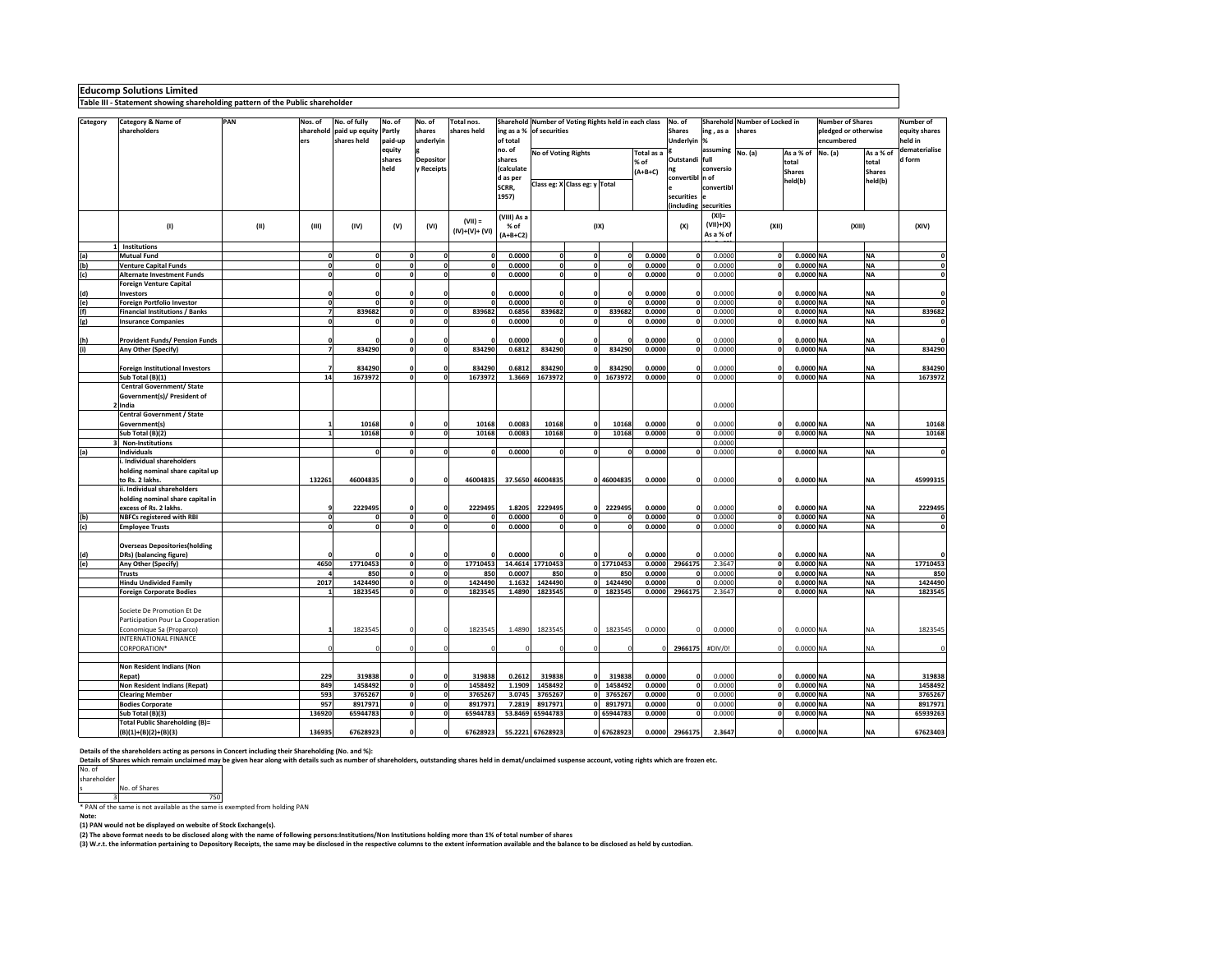**Educomp Solutions Limited Table III - Statement showing shareholding pattern of the Public shareholder**

|          |                                        | PAN  |                | No. of fully                    |              |                  | Total nos.     |                   |                                                                                  |                               |              |            | No. of        |                       | Sharehold Number of Locked in |               | <b>Number of Shares</b> |               | Number of               |  |
|----------|----------------------------------------|------|----------------|---------------------------------|--------------|------------------|----------------|-------------------|----------------------------------------------------------------------------------|-------------------------------|--------------|------------|---------------|-----------------------|-------------------------------|---------------|-------------------------|---------------|-------------------------|--|
| Category | Category & Name of<br>shareholders     |      | Nos. of        | sharehold paid up equity Partly | No. of       | No. of<br>shares | shares held    |                   | Sharehold Number of Voting Rights held in each class<br>ing as a % of securities |                               |              |            | <b>Shares</b> | ing, as a             | shares                        |               | pledged or otherwise    |               | equity shares           |  |
|          |                                        |      | ers            | shares held                     | paid-up      | underlyin        |                | of total          |                                                                                  |                               |              |            | Underlyin %   |                       |                               |               | encumbered              |               | held in                 |  |
|          |                                        |      |                |                                 | equity       |                  |                | no. of            |                                                                                  |                               |              |            |               | assuming              |                               |               |                         |               | dematerialise           |  |
|          |                                        |      |                |                                 | shares       | <b>Depositor</b> |                | shares            | No of Voting Rights                                                              |                               |              | Total as a | Outstandi     | full                  | No. (a)                       | As a % of     | No. (a)                 | As a % of     | d form                  |  |
|          |                                        |      |                |                                 | held         | Receipts         |                | (calculate        |                                                                                  |                               |              | % of       | ng            | conversio             |                               | total         |                         | total         |                         |  |
|          |                                        |      |                |                                 |              |                  |                |                   |                                                                                  |                               |              | $(A+B+C)$  |               |                       |                               | <b>Shares</b> |                         | <b>Shares</b> |                         |  |
|          |                                        |      |                |                                 |              |                  |                | d as per<br>SCRR, |                                                                                  | Class eg: X Class eg: y Total |              |            | convertibl    | n of<br>convertibl    |                               | held(b)       |                         | held(b)       |                         |  |
|          |                                        |      |                |                                 |              |                  |                | 1957)             |                                                                                  |                               |              |            |               |                       |                               |               |                         |               |                         |  |
|          |                                        |      |                |                                 |              |                  |                |                   |                                                                                  |                               |              |            | securities    | (including securities |                               |               |                         |               |                         |  |
|          |                                        |      |                |                                 |              |                  |                |                   |                                                                                  |                               |              |            |               | $(XI) =$              |                               |               |                         |               |                         |  |
|          |                                        |      |                |                                 |              |                  | $(VII) =$      | (VIII) As a       |                                                                                  |                               |              |            |               |                       |                               |               |                         |               |                         |  |
|          | (1)                                    | (II) | (III)          | (IV)                            | (V)          | (VI)             | $(IV)+(V)+(V)$ | % of              |                                                                                  | (IX)                          |              |            | (X)           | $(VII)+(X)$           | (XII)                         |               | (XIII)                  |               | (XIV)                   |  |
|          |                                        |      |                |                                 |              |                  |                | $(A+B+C2)$        |                                                                                  |                               |              |            |               | As a % of             |                               |               |                         |               |                         |  |
|          | 1 Institutions                         |      |                |                                 |              |                  |                |                   |                                                                                  |                               |              |            |               |                       |                               |               |                         |               |                         |  |
| (a)      | <b>Mutual Fund</b>                     |      | $\mathbf 0$    | 0                               | $\Omega$     | $\Omega$         |                | 0.0000            | $\Omega$                                                                         | $\mathbf 0$                   | $\mathbf 0$  | 0.0000     | ٥I            | 0.0000                | $\mathbf{0}$                  | 0.0000 NA     |                         | <b>NA</b>     | 0                       |  |
| (b)      | <b>Venture Capital Funds</b>           |      | $\mathbf{o}$   | ٥I                              | $\mathbf{r}$ | $\mathbf{a}$     |                | 0.0000            | $\mathbf{o}$                                                                     | $\mathbf 0$                   | $\mathbf 0$  | 0.0000     | ٥l            | 0.0000                | ol                            | 0.0000 NA     |                         | <b>NA</b>     | $\mathbf{0}$            |  |
| (c)      | <b>Alternate Investment Funds</b>      |      | o              | ٥I                              | $\mathbf{0}$ |                  |                | 0.0000            | $\mathbf{0}$                                                                     | $\mathbf{o}$                  | $\Omega$     | 0.0000     | o             | 0.0000                | $\mathbf{0}$                  | 0.0000 NA     |                         | <b>NA</b>     | $\mathbf 0$             |  |
|          | <b>Foreign Venture Capital</b>         |      |                |                                 |              |                  |                |                   |                                                                                  |                               |              |            |               |                       |                               |               |                         |               |                         |  |
| (d)      | Investors                              |      |                |                                 |              |                  |                | 0.0000            | C                                                                                | $\Omega$                      |              | 0.0000     | 0             | 0.0000                | 0                             | 0.0000 NA     |                         | <b>NA</b>     | 0                       |  |
| (e)      | Foreign Portfolio Investor             |      | 0              | n                               | $\mathbf{0}$ | $\Omega$         |                | 0.0000            | $\mathbf{0}$                                                                     | $\mathbf{0}$                  | $\mathbf{0}$ | 0.0000     | ٥I            | 0.0000                | 0                             | 0.0000 NA     |                         | <b>NA</b>     | $\mathbf{0}$            |  |
| (f)      | <b>Financial Institutions / Banks</b>  |      | $\overline{7}$ | 839682                          | $\mathbf{0}$ | $\mathbf{a}$     | 839682         | 0.6856            | 839682                                                                           | $\mathbf 0$                   | 839682       | 0.0000     | 0             | 0.0000                | $\mathbf 0$                   | 0.0000 NA     |                         | <b>NA</b>     | 839682                  |  |
| (g)      | <b>Insurance Companies</b>             |      | $\Omega$       | $\mathbf{a}$                    | $\mathbf{0}$ | $\mathbf{a}$     |                | 0.0000            | o                                                                                | $\Omega$                      | $\mathbf 0$  | 0.0000     | ٥I            | 0.0000                | 0                             | 0.0000 NA     |                         | <b>NA</b>     | $\mathbf{0}$            |  |
|          |                                        |      |                |                                 |              |                  |                |                   |                                                                                  |                               |              |            |               |                       |                               |               |                         |               |                         |  |
| (h)      | <b>Provident Funds/ Pension Funds</b>  |      | $\Omega$       |                                 |              |                  |                | 0.0000            |                                                                                  | $\sqrt{2}$                    | $\mathbf{a}$ | 0.0000     | $\mathbf{0}$  | 0.0000                | $\Omega$                      | 0.0000 NA     |                         | <b>NA</b>     |                         |  |
| (i)      | Any Other (Specify)                    |      | $\overline{z}$ | 834290                          | o            |                  | 834290         | 0.6812            | 834290                                                                           | $\mathbf{0}$                  | 834290       | 0.0000     | n             | 0.0000                | $\mathbf{0}$                  | 0.0000 NA     |                         | <b>NA</b>     | 834290                  |  |
|          |                                        |      |                |                                 |              |                  |                |                   |                                                                                  |                               |              |            |               |                       |                               |               |                         |               |                         |  |
|          | <b>Foreign Institutional Investors</b> |      |                | 834290                          | $\Omega$     |                  | 834290         | 0.6812            | 834290                                                                           | $\Omega$                      | 834290       | 0.0000     | $\Omega$      | 0.0000                | $\Omega$                      | 0.0000 NA     |                         | <b>NA</b>     | 834290                  |  |
|          | Sub Total (B)(1)                       |      | 14             | 1673972                         | $\Omega$     | $\Omega$         | 1673972        | 1.3669            | 1673972                                                                          | ol                            | 1673972      | 0.0000     | $\Omega$      | 0.0000                | 0                             | 0.0000 NA     |                         | <b>NA</b>     | 1673972                 |  |
|          | <b>Central Government/ State</b>       |      |                |                                 |              |                  |                |                   |                                                                                  |                               |              |            |               |                       |                               |               |                         |               |                         |  |
|          | Government(s)/ President of            |      |                |                                 |              |                  |                |                   |                                                                                  |                               |              |            |               |                       |                               |               |                         |               |                         |  |
|          | 2 India                                |      |                |                                 |              |                  |                |                   |                                                                                  |                               |              |            |               | 0.0000                |                               |               |                         |               |                         |  |
|          | <b>Central Government / State</b>      |      |                |                                 |              |                  |                |                   |                                                                                  |                               |              |            |               |                       |                               |               |                         |               |                         |  |
|          | Government(s)                          |      |                | 10168                           |              |                  | 10168          | 0.0083            | 10168                                                                            | $\Omega$                      | 10168        | 0.0000     | $\mathbf{a}$  | 0.0000                | $\mathbf{a}$                  | 0.0000 NA     |                         | <b>NA</b>     | 10168                   |  |
|          | Sub Total (B)(2)                       |      |                | 10168                           | $\mathbf{0}$ |                  | 10168          | 0.0083            | 10168                                                                            | $\Omega$                      | 10168        | 0.0000     | $\mathbf{0}$  | 0.0000                | o                             | 0.0000 NA     |                         | <b>NA</b>     | 10168                   |  |
|          | 3 Non-Institutions                     |      |                |                                 |              |                  |                |                   |                                                                                  |                               |              |            |               | 0.0000                |                               |               |                         |               |                         |  |
| (a)      | Individuals                            |      |                | $\Omega$                        | $\mathbf{0}$ | $\Omega$         |                | 0.0000            | o                                                                                | $\Omega$                      | $\mathbf 0$  | 0.0000     | O             | 0.0000                | $\mathbf{0}$                  | 0.0000 NA     |                         | NA            | $\mathbf 0$             |  |
|          | i. Individual shareholders             |      |                |                                 |              |                  |                |                   |                                                                                  |                               |              |            |               |                       |                               |               |                         |               |                         |  |
|          | holding nominal share capital up       |      |                |                                 |              |                  |                |                   |                                                                                  |                               |              |            |               |                       |                               |               |                         |               |                         |  |
|          | to Rs. 2 lakhs.                        |      | 132261         | 46004835                        | $\Omega$     |                  | 46004835       |                   | 37.5650 46004835                                                                 |                               | 0 46004835   | 0.0000     | $\mathbf{0}$  | 0.0000                | $\mathbf{0}$                  | 0.0000 NA     |                         | <b>NA</b>     | 45999315                |  |
|          | ii. Individual shareholders            |      |                |                                 |              |                  |                |                   |                                                                                  |                               |              |            |               |                       |                               |               |                         |               |                         |  |
|          | holding nominal share capital in       |      |                |                                 |              |                  |                |                   |                                                                                  |                               |              |            |               |                       |                               |               |                         |               |                         |  |
|          | excess of Rs. 2 lakhs.                 |      |                | 2229495                         | $\Omega$     |                  | 2229495        | 1.8205            | 2229495                                                                          | $\Omega$                      | 2229495      | 0.0000     | O             | 0.0000                | $\Omega$                      | 0.0000 NA     |                         | <b>NA</b>     | 2229495                 |  |
| (b)      | <b>NBFCs registered with RBI</b>       |      | $\Omega$       | $\Omega$                        | $\mathbf{0}$ |                  |                | 0.0000            | o                                                                                | $\Omega$                      | $\Omega$     | 0.0000     | $\Omega$      | 0.0000                | 0                             | 0.0000 NA     |                         | <b>NA</b>     | $\mathbf{0}$            |  |
| (c)      | <b>Employee Trusts</b>                 |      | $\Omega$       | $\mathbf 0$                     | $\mathbf 0$  |                  | $\Omega$       | 0.0000            | o                                                                                | $\mathbf 0$                   | $\mathbf 0$  | 0.0000     | 0             | 0.0000                | $\mathbf{0}$                  | 0.0000 NA     |                         | <b>NA</b>     | $\overline{\mathbf{0}}$ |  |
|          |                                        |      |                |                                 |              |                  |                |                   |                                                                                  |                               |              |            |               |                       |                               |               |                         |               |                         |  |
|          | <b>Overseas Depositories(holding</b>   |      |                |                                 |              |                  |                |                   |                                                                                  |                               |              |            |               |                       |                               |               |                         |               |                         |  |
| (d)      | DRs) (balancing figure)                |      |                |                                 |              |                  |                | 0.0000            |                                                                                  |                               | $\Omega$     | 0.0000     |               | 0.0000                | $\Omega$                      | 0.0000 NA     |                         | <b>NA</b>     | $\Omega$                |  |
| (e)      | Any Other (Specify)                    |      | 4650           | 17710453                        | $\Omega$     | $\Omega$         | 17710453       |                   | 14.4614 17710453                                                                 |                               | 0 17710453   | 0.0000     | 2966175       | 2.3647                | $\mathbf{0}$                  | 0.0000 NA     |                         | <b>NA</b>     | 17710453                |  |
|          | <b>Trusts</b>                          |      |                | 850                             | o            | $\Omega$         | 850            | 0.0007            | 850                                                                              | $\Omega$                      | 850          | 0.0000     | $\Omega$      | 0.0000                | $\mathbf{0}$                  | 0.0000 NA     |                         | <b>NA</b>     | 850                     |  |
|          | <b>Hindu Undivided Family</b>          |      | 2017           | 1424490                         | o            | $\mathbf{a}$     | 1424490        | 1.1632            | 1424490                                                                          | 0                             | 1424490      | 0.0000     | ٥I            | 0.0000                | 0                             | 0.0000 NA     |                         | <b>NA</b>     | 1424490                 |  |
|          | <b>Foreign Corporate Bodies</b>        |      |                | 1823545                         | $\mathbf{0}$ |                  | 1823545        | 1.4890            | 1823545                                                                          | ol                            | 1823545      | 0.0000     | 2966175       | 2.3647                | $\Omega$                      | 0.0000 NA     |                         | <b>NA</b>     | 1823545                 |  |
|          |                                        |      |                |                                 |              |                  |                |                   |                                                                                  |                               |              |            |               |                       |                               |               |                         |               |                         |  |
|          | Societe De Promotion Et De             |      |                |                                 |              |                  |                |                   |                                                                                  |                               |              |            |               |                       |                               |               |                         |               |                         |  |
|          | Participation Pour La Cooperation      |      |                |                                 |              |                  |                |                   |                                                                                  |                               |              |            |               |                       |                               |               |                         |               |                         |  |
|          | Economique Sa (Proparco)               |      |                | 1823545                         | $\Omega$     |                  | 1823545        | 1.4890            | 1823545                                                                          | $\mathbf 0$                   | 1823545      | 0.0000     |               | 0.0000                | C                             | 0.0000 NA     |                         | <b>NA</b>     | 1823545                 |  |
|          | INTERNATIONAL FINANCE                  |      |                |                                 |              |                  |                |                   |                                                                                  |                               |              |            |               |                       |                               |               |                         |               |                         |  |
|          | CORPORATION*                           |      |                |                                 |              |                  |                |                   |                                                                                  |                               |              |            | 2966175       | #DIV/0!               | $\Omega$                      | 0.0000 NA     |                         | <b>NA</b>     | $\Omega$                |  |
|          |                                        |      |                |                                 |              |                  |                |                   |                                                                                  |                               |              |            |               |                       |                               |               |                         |               |                         |  |
|          | Non Resident Indians (Non              |      |                |                                 |              |                  |                |                   |                                                                                  |                               |              |            |               |                       |                               |               |                         |               |                         |  |
|          | Repat)                                 |      | 229            | 319838                          |              |                  | 319838         | 0.2612            | 319838                                                                           | $\mathbf 0$                   | 319838       | 0.0000     | O             | 0.0000                | O                             | 0.0000 NA     |                         | <b>NA</b>     | 319838                  |  |
|          | Non Resident Indians (Repat)           |      | 849            | 1458492                         | $\mathbf{o}$ |                  | 1458492        | 1.1909            | 1458492                                                                          | $\mathbf{0}$                  | 1458492      | 0.0000     | 0             | 0.0000                | $\mathbf{0}$                  | 0.0000 NA     |                         | <b>NA</b>     | 1458492                 |  |
|          | <b>Clearing Member</b>                 |      | 593            | 3765267                         | $\Omega$     | $\Omega$         | 3765267        | 3.0745            | 3765267                                                                          | $\mathbf{0}$                  | 3765267      | 0.0000     | ol            | 0.0000                | $\mathbf{0}$                  | 0.0000 NA     |                         | <b>NA</b>     | 3765267                 |  |
|          | <b>Bodies Corporate</b>                |      | 957            | 8917971                         | $\mathbf{0}$ | $\Omega$         | 8917971        | 7.2819            | 8917971                                                                          | $\mathbf 0$                   | 8917971      | 0.0000     | $\Omega$      | 0.0000                | 0                             | 0.0000 NA     |                         | <b>NA</b>     | 8917971                 |  |
|          | Sub Total (B)(3)                       |      | 136920         | 65944783                        | o            | $\Omega$         | 65944783       | 53.8469           | 65944783                                                                         |                               | 0 65944783   | 0.0000     | $\Omega$      | 0.0000                | $\Omega$                      | 0.0000 NA     |                         | <b>NA</b>     | 65939263                |  |
|          | <b>Total Public Shareholding (B)=</b>  |      |                |                                 |              |                  |                |                   |                                                                                  |                               |              |            |               |                       |                               |               |                         |               |                         |  |
|          | $(B)(1)+(B)(2)+(B)(3)$                 |      | 136935         | 67628923                        | $\mathbf{0}$ |                  | 67628923       |                   | 55.2221 67628923                                                                 |                               | 0 67628923   | 0.0000     | 2966175       | 2.3647                | O                             | 0.0000 NA     |                         | <b>NA</b>     | 67623403                |  |
|          |                                        |      |                |                                 |              |                  |                |                   |                                                                                  |                               |              |            |               |                       |                               |               |                         |               |                         |  |

**Details of the shareholders acting as persons in Concert including their Shareholding (No. and %):**

Details of Shares which remain unclaimed may be given hear along with details such as number of shareholders, outstanding shares held in demat/unclaimed suspense account, voting rights which are frozen etc.<br>No. of

|             | No. of Shares |
|-------------|---------------|
| shareholder |               |
| IVU. UI     |               |

<sup>s</sup> No. of Shares <sup>3</sup> <sup>750</sup> \* PAN of the same is not available as the same is exempted from holding PAN

**Note:** 

**(1) PAN would not be displayed on website of Stock Exchange(s).** 

**(2) The above format needs to be disclosed along with the name of following persons:Institutions/Non Institutions holding more than 1% of total number of shares**

**(3) W.r.t. the information pertaining to Depository Receipts, the same may be disclosed in the respective columns to the extent information available and the balance to be disclosed as held by custodian.**